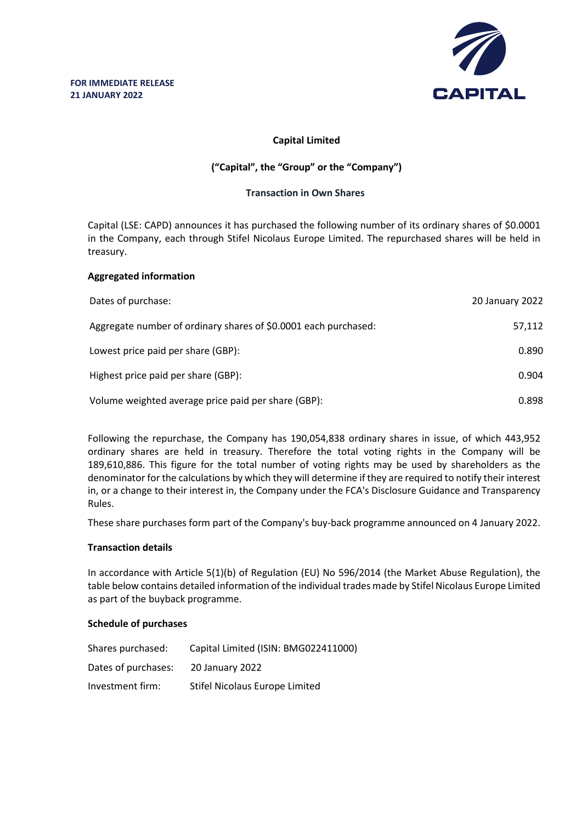

# **Capital Limited**

# **("Capital", the "Group" or the "Company")**

# **Transaction in Own Shares**

Capital (LSE: CAPD) announces it has purchased the following number of its ordinary shares of \$0.0001 in the Company, each through Stifel Nicolaus Europe Limited. The repurchased shares will be held in treasury.

# **Aggregated information**

| Dates of purchase:                                              | 20 January 2022 |
|-----------------------------------------------------------------|-----------------|
| Aggregate number of ordinary shares of \$0.0001 each purchased: | 57,112          |
| Lowest price paid per share (GBP):                              | 0.890           |
| Highest price paid per share (GBP):                             | 0.904           |
| Volume weighted average price paid per share (GBP):             | 0.898           |

Following the repurchase, the Company has 190,054,838 ordinary shares in issue, of which 443,952 ordinary shares are held in treasury. Therefore the total voting rights in the Company will be 189,610,886. This figure for the total number of voting rights may be used by shareholders as the denominator for the calculations by which they will determine if they are required to notify their interest in, or a change to their interest in, the Company under the FCA's Disclosure Guidance and Transparency Rules.

These share purchases form part of the Company's buy-back programme announced on 4 January 2022.

#### **Transaction details**

In accordance with Article 5(1)(b) of Regulation (EU) No 596/2014 (the Market Abuse Regulation), the table below contains detailed information of the individual trades made by Stifel Nicolaus Europe Limited as part of the buyback programme.

#### **Schedule of purchases**

| Shares purchased:   | Capital Limited (ISIN: BMG022411000) |
|---------------------|--------------------------------------|
| Dates of purchases: | 20 January 2022                      |
| Investment firm:    | Stifel Nicolaus Europe Limited       |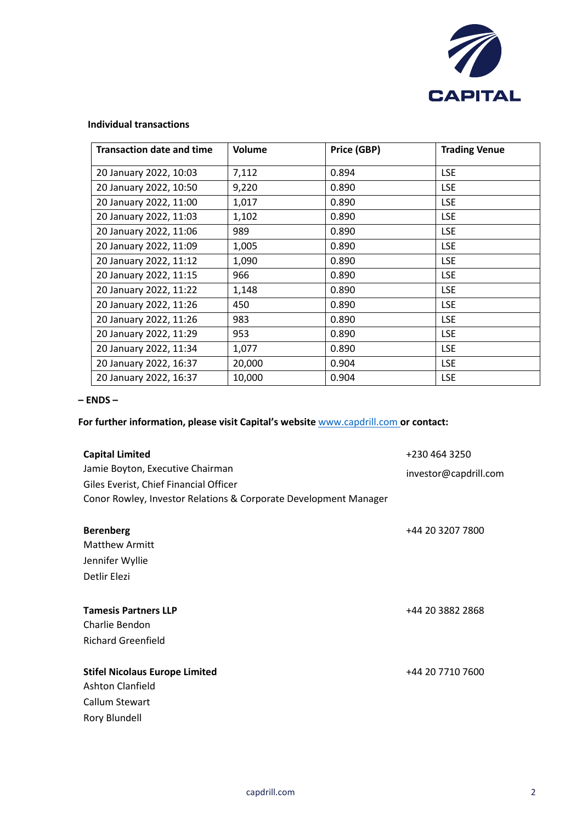

# **Individual transactions**

| <b>Transaction date and time</b> | Volume | Price (GBP) | <b>Trading Venue</b> |
|----------------------------------|--------|-------------|----------------------|
| 20 January 2022, 10:03           | 7,112  | 0.894       | <b>LSE</b>           |
| 20 January 2022, 10:50           | 9,220  | 0.890       | <b>LSE</b>           |
| 20 January 2022, 11:00           | 1,017  | 0.890       | <b>LSE</b>           |
| 20 January 2022, 11:03           | 1,102  | 0.890       | <b>LSE</b>           |
| 20 January 2022, 11:06           | 989    | 0.890       | <b>LSE</b>           |
| 20 January 2022, 11:09           | 1,005  | 0.890       | <b>LSE</b>           |
| 20 January 2022, 11:12           | 1,090  | 0.890       | <b>LSE</b>           |
| 20 January 2022, 11:15           | 966    | 0.890       | <b>LSE</b>           |
| 20 January 2022, 11:22           | 1,148  | 0.890       | <b>LSE</b>           |
| 20 January 2022, 11:26           | 450    | 0.890       | <b>LSE</b>           |
| 20 January 2022, 11:26           | 983    | 0.890       | <b>LSE</b>           |
| 20 January 2022, 11:29           | 953    | 0.890       | <b>LSE</b>           |
| 20 January 2022, 11:34           | 1,077  | 0.890       | <b>LSE</b>           |
| 20 January 2022, 16:37           | 20,000 | 0.904       | <b>LSE</b>           |
| 20 January 2022, 16:37           | 10,000 | 0.904       | <b>LSE</b>           |

#### **– ENDS –**

# **For further information, please visit Capital's website** www.capdrill.com **or contact:**

| <b>Capital Limited</b>                                           | +230 464 3250         |
|------------------------------------------------------------------|-----------------------|
| Jamie Boyton, Executive Chairman                                 | investor@capdrill.com |
| Giles Everist, Chief Financial Officer                           |                       |
| Conor Rowley, Investor Relations & Corporate Development Manager |                       |
|                                                                  |                       |
| <b>Berenberg</b>                                                 | +44 20 3207 7800      |
| <b>Matthew Armitt</b>                                            |                       |
| Jennifer Wyllie                                                  |                       |
| Detlir Elezi                                                     |                       |
|                                                                  |                       |
| <b>Tamesis Partners LLP</b>                                      | +44 20 3882 2868      |
| Charlie Bendon                                                   |                       |
| <b>Richard Greenfield</b>                                        |                       |
|                                                                  |                       |
| <b>Stifel Nicolaus Europe Limited</b>                            | +44 20 7710 7600      |
| Ashton Clanfield                                                 |                       |
| Callum Stewart                                                   |                       |
| Rory Blundell                                                    |                       |